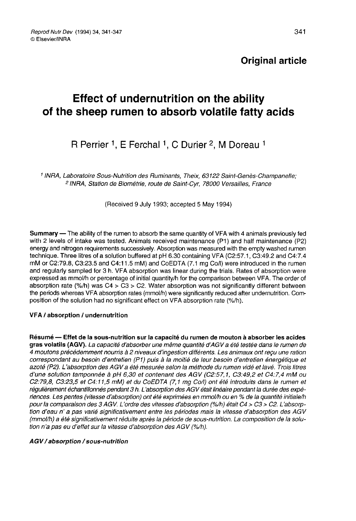## **Original article**

# Effect of undernutrition on the ability of the sheep rumen to absorb volatile fatty acids

## R Perrier <sup>1</sup>, E Ferchal <sup>1</sup>, C Durier <sup>2</sup>, M Doreau <sup>1</sup>

<sup>1</sup> INRA, Laboratoire Sous-Nutrition des Ruminants, Theix, 63122 Saint-Genès-Champanelle; 2INRA, Station de Biométrie, route de Saint-Cyr, 78000 Versailles, France

(Received 9 July 1993; accepted 5 May 1994)

Summary ― The ability of the rumen to absorb the same quantity of VFA with 4 animals previously fed with 2 levels of intake was tested. Animals received maintenance (Pi) and half maintenance (P2) energy and nitrogen requirements successively. Absorption was measured with the empty washed rumen technique. Three litres of a solution buffered at pH 6.30 containing VFA (C2:57.1, C3:49.2 and C4:7.4 mM or C2:79.8, C3:23.5 and C4:11.5 mM) and CoEDTA (7.1 mg Co/I) were introduced in the rumen and regularly sampled for 3 h. VFA absorption was linear during the trials. Rates of absorption were expressed as mmol/h or percentage of initial quantity/h for the comparison between VFA. The order of absorption rate  $(\%/h)$  was C4 > C3 > C2. Water absorption was not significantly different between the periods whereas VFA absorption rates (mmol/h) were significantly reduced after undernutrition. Composition of the solution had no significant effect on VFA absorption rate (%/h).

## VFA / absorption / undernutrition

Résumé ― Effet de la sous-nutrition sur la capacité du rumen de mouton à absorber les acides gras volatils (AGV). La capacité d'absorber une même quantité d AGV a été testée dans le rumen de 4 moutons précédemment nourris à 2 niveaux d'ingestion différents. Les animaux ont reçu une ration correspondant au besoin d'entretien (P1) puis à la moitié de leur besoin d'entretien énergétique et azoté (P2). L'absorption des AGV a été mesurée selon la méthode du rumen vidé et lavé. Trois litres d'une solution tamponnée à pH 6,30 et contenant des AGV (C2:57,1, C3:49,2 et C4:7,4 mM ou<br>C2:79,8, C3:23,5 et C4:11,5 mM) et du CoEDTA (7,1 mg Co/l) ont été introduits dans le rumen et 4 modions precedemment nouris a 2 inveaux d'ingestion dirierents. Les animaux ont reçu dire ration<br>correspondant au besoin d'entretien (P1) puis à la moitié de leur besoin d'entretien énergétique et<br>azoté (P2). L'absorptio régulièrement échantillonnés pendant 3 h. L'absorption des AGV était linéaire pendant la durée des expériences. Les pentes (vitesse d'absorption) ont été exprimées en mmol/h ou en % de la quantité initiale/h pour la comparaison des 3 AGV L'ordre des vitesses d'absorption (%lh) était C4 > C3 > C2. L'absorption d'eau n' a pas varié significativement entre les périodes mais la vitesse d'absorption des AGV (mmollh) a été significativement réduite après la période de sous-nutrition. La composition de la solution n'a pas eu d'effet sur la vitesse d'absorption des AGV (%/h).

AGV / absorption / sous-nutrition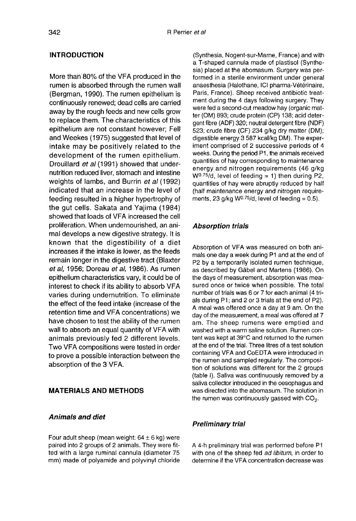## INTRODUCTION

More than 80% of the VFA produced in the rumen is absorbed through the rumen wall (Bergman, 1990). The rumen epithelium is continuously renewed; dead cells are carried away by the rough feeds and new cells grow to replace them. The characteristics of this epithelium are not constant however; Fell and Weekes (1975) suggested that level of intake may be positively related to the development of the rumen epithelium. Drouillard et al (1991) showed that undernutrition reduced liver, stomach and intestine weights of lambs, and Burrin et al (1992) indicated that an increase in the level of feeding resulted in a higher hypertrophy of the gut cells. Sakata and Yajima (1984) showed that loads of VFA increased the cell proliferation. When undernourished, an animal develops a new digestive strategy. It is known that the digestibility of a diet increases if the intake is lower, as the feeds remain longer in the digestive tract (Blaxter et al, 1956; Doreau et al, 1986). As rumen epithelium characteristics vary, it could be of interest to check if its ability to absorb VFA varies during undernutrition. To eliminate the effect of the feed intake (increase of the retention time and VFA concentrations) we have chosen to test the ability of the rumen wall to absorb an equal quantity of VFA with animals previously fed 2 different levels. Two VFA compositions were tested in order to prove a possible interaction between the absorption of the 3 VFA.

## MATERIALS AND METHODS

#### Animals and diet

Four adult sheep (mean weight:  $64 \pm 6$  kg) were paired into 2 groups of 2 animals. They were fitted with a large ruminal cannula (diameter 75 mm) made of polyamide and polyvinyl chloride

(Synthesia, Nogent-sur-Marne, France) and with a T-shaped cannula made of plastisol (Synthesia) placed at the abomasum. Surgery was performed in a sterile environment under general anaesthesia (Halothane, ICI pharma-Vétérinaire, Paris, France). Sheep received antibiotic treatment during the 4 days following surgery. They were fed a second-cut meadow hay (organic matter (OM) 893; crude protein (CP) 138; acid detergent fibre (ADF) 320; neutral detergent fibre (NDF) 523; crude fibre (CF) 234 g/kg dry matter (DM); digestible energy 3 587 kcal/kg DM). The experiment comprised of 2 successive periods of 4 weeks. During the period P1, the animals received quantities of hay corresponding to maintenance energy and nitrogen requirements (46 g/kg W0.75/d, level of feeding = 1) then during P2, weeks. During the period P1, the animals received<br>quantities of hay corresponding to maintenance<br>energy and nitrogen requirements (46 g/kg<br>W<sup>0.75</sup>/d, level of feeding = 1) then during P2,<br>quantities of hay were abruptly re (half maintenance energy and nitrogen require-<br>ments. 23  $q/kq$  W<sup>0.75</sup>/d, level of feeding = 0.5).  $W^{0.75}/d$ , level of feeding = 1) then during P:<br>quantities of hay were abruptly reduced by ha<br>(half maintenance energy and nitrogen requir<br>ments, 23 g/kg W<sup>0.75</sup>/d, level of feeding = 0.5).

#### Absorption trials

Absorption of VFA was measured on both animals one day a week during P1 and at the end of P2 by a temporarily isolated rumen technique, as described by Gäbel and Martens (1986). On the days of measurement, absorption was measured once or twice when possible. The total number of trials was 6 or 7 for each animal (4 trials during P1; and 2 or 3 trials at the end of P2). A meal was offered once a day at 9 am. On the day of the measurement, a meal was offered at 7 am. The sheep rumens were emptied and washed with a warm saline solution. Rumen content was kept at 39°C and returned to the rumen at the end of the trial. Three litres of a test solution containing VFA and CoEDTA were introduced in the rumen and sampled regularly. The composition of solutions was different for the 2 groups (table I). Saliva was continuously removed by a saliva collector introduced in the oesophagus and was directed into the abomasum. The solution in the rumen was continuously gassed with  $CO<sub>2</sub>$ .

#### Preliminary trial

A 4-h preliminary trial was performed before P1 with one of the sheep fed ad libitum, in order to determine if the VFA concentration decrease was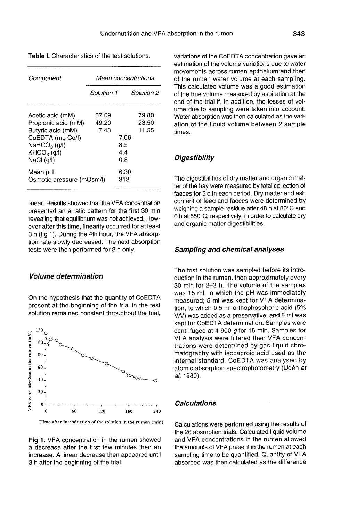|  |  | <b>Table I.</b> Characteristics of the test solutions. |
|--|--|--------------------------------------------------------|
|--|--|--------------------------------------------------------|

| Component                                                                                                                                             | Mean concentrations    |                                                       |  |
|-------------------------------------------------------------------------------------------------------------------------------------------------------|------------------------|-------------------------------------------------------|--|
|                                                                                                                                                       | Solution 1             | Solution 2                                            |  |
| Acetic acid (mM)<br>Propionic acid (mM)<br>Butyric acid (mM)<br>CoEDTA (mg Co/l)<br>NaHCO <sub>3</sub> (g/l)<br>KHCO <sub>3</sub> (q/l)<br>NaCl (g/l) | 57.09<br>49.20<br>7.43 | 79.80<br>23.50<br>11.55<br>7.06<br>8.5<br>4.4<br>0. R |  |
| Mean pH<br>Osmotic pressure (mOsm/l)                                                                                                                  |                        | 6.30<br>313                                           |  |

linear. Results showed that the VFA concentration presented an erratic pattern for the first 30 min revealing that equilibrium was not achieved. However after this time, linearity occurred for at least 3 h (fig 1). During the 4th hour, the VFA absorption rate slowly decreased. The next absorption tests were then performed for 3 h only.

## Volume determination

On the hypothesis that the quantity of CoEDTA present at the beginning of the trial in the test solution remained constant throughout the trial,



Time after introduction of the solution in the rumen (min)

Fig 1. VFA concentration in the rumen showed a decrease after the first few minutes then an increase. A linear decrease then appeared until 3 h after the beginning of the trial.

variations of the CoEDTA concentration gave an estimation of the volume variations due to water movements across rumen epithelium and then of the rumen water volume at each sampling. This calculated volume was a good estimation of the true volume measured by aspiration at the end of the trial if, in addition, the losses of volume due to sampling were taken into account. Water absorption was then calculated as the variation of the liquid volume between 2 sample times.

### **Digestibility**

The digestibilities of dry matter and organic matter of the hay were measured by total collection of faeces for 5 d in each period. Dry matter and ash content of feed and faeces were determined by weighing a sample residue after 48 h at 80°C and 6 h at 550°C, respectively, in order to calculate dry and organic matter digestibilities.

#### Sampling and chemical analyses

The test solution was sampled before its introduction in the rumen, then approximately every 30 min for 2-3 h. The volume of the samples was 15 ml, in which the pH was immediately measured; 5 ml was kept for VFA determination, to which 0.5 ml orthophosphoric acid (5% VN) was added as a preservative, and 8 ml was kept for CoEDTA determination. Samples were centrifuged at 4 900 g for 15 min. Samples for VFA analysis were filtered then VFA concentrations were determined by gas-liquid chromatography with isocaproic acid used as the internal standard. CoEDTA was analysed by atomic absorption spectrophotometry (Udén et al, 1980).

#### Calculations

Calculations were performed using the results of the 26 absorption trials. Calculated liquid volume and VFA concentrations in the rumen allowed the amounts of VFA present in the rumen at each sampling time to be quantified. Quantity of VFA absorbed was then calculated as the difference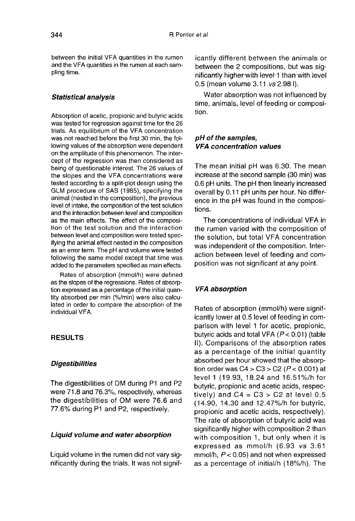between the initial VFA quantities in the rumen and the VFA quantities in the rumen at each sampling time.

#### Statistical analysis

Absorption of acetic, propionic and butyric acids was tested for regression against time for the 26 trials. As equilibrium of the VFA concentration was not reached before the first 30 min, the following values of the absorption were dependent on the amplitude of this phenomenon. The intercept of the regression was then considered as being of questionable interest. The 26 values of the slopes and the VFA concentrations were tested according to a split-plot design using the GLM procedure of SAS (1985), specifying the animal (nested in the composition), the previous level of intake, the composition of the test solution and the interaction between level and composition as the main effects. The effect of the composition of the test solution and the interaction between level and composition were tested specifying the animal effect nested in the composition as an error term. The pH and volume were tested following the same model except that time was added to the parameters specified as main effects.

Rates of absorption (mmol/h) were defined as the slopes of the regressions. Rates of absorption expressed as a percentage of the initial quantity absorbed per min (%/min) were also calculated in order to compare the absorption of the individual VFA.

## RESULTS

### **Digestibilities**

The digestibilities of DM during P1 and P2 were 71.8 and 76.3%, respectively, whereas the digestibilities of OM were 76.6 and 77.6% during P1 and P2, respectively.

## Liquid volume and water absorption

Liquid volume in the rumen did not vary significantly during the trials. It was not signif-

icantly different between the animals or between the 2 compositions, but was significantly highefwith level-1 than with level 0.5 (mean volume 3.11 vs 2.98 I).

Water absorption was not influenced by time, animals, level of feeding or composition.

## pH of the samples, VFA concentration values

The mean initial pH was 6.30. The mean increase at the second sample (30 min) was 0.6 pH units. The pH then linearly increased overall by 0.11 pH units per hour. No difference in the pH was found in the compositions.

The concentrations of individual VFA in the rumen varied with the composition of the solution, but total VFA concentration was independent of the composition. Interaction between level of feeding and composition was not significant at any point.

## VFA absorption

Rates of absorption (mmol/h) were significantly lower at 0.5 level of feeding in comparison with level 1 for acetic, propionic, butyric acids and total VFA  $(P < 0.01)$  (table II). Comparisons of the absorption rates as a percentage of the initial quantity absorbed per hour showed that the absorption order was  $C4 > C3 > C2$  ( $P < 0.001$ ) at level 1 (19.93, 18.24 and 16.51%/h for butyric, propionic and acetic acids, respectively) and  $C4 = C3 > C2$  at level 0.5 (14.90, 14.30 and 12.47%/h for butyric, propionic and acetic acids, respectively). The rate of absorption of butyric acid was significantly higher with composition 2 than with composition 1, but only when it is expressed as mmol/h (6.93 vs 3.61 mmol/h,  $P < 0.05$ ) and not when expressed as a percentage of initial/h (18%/h). The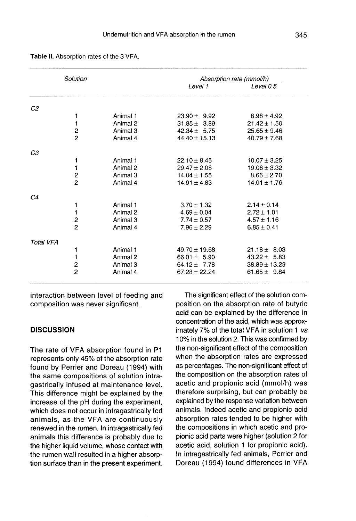| Solution       |                                                                                                                                                | Absorption rate (mmol/h)                                                         |                                                                                                                                                                                 |
|----------------|------------------------------------------------------------------------------------------------------------------------------------------------|----------------------------------------------------------------------------------|---------------------------------------------------------------------------------------------------------------------------------------------------------------------------------|
|                |                                                                                                                                                | Level 1                                                                          | Level 0.5                                                                                                                                                                       |
|                |                                                                                                                                                |                                                                                  |                                                                                                                                                                                 |
| 1              | Animal 1                                                                                                                                       | $23.90 \pm 9.92$                                                                 | $8.98 \pm 4.92$                                                                                                                                                                 |
| 1              | Animal 2                                                                                                                                       | $31.85 \pm 3.89$                                                                 | $21.42 \pm 1.50$                                                                                                                                                                |
|                | Animal 3                                                                                                                                       | $42.34 \pm 5.75$                                                                 | $25.65 \pm 9.46$                                                                                                                                                                |
| $\overline{c}$ | Animal 4                                                                                                                                       | $44.40 \pm 15.13$                                                                | $40.79 \pm 7.68$                                                                                                                                                                |
|                |                                                                                                                                                |                                                                                  |                                                                                                                                                                                 |
|                | Animal 1                                                                                                                                       | $22.10 \pm 8.45$                                                                 | $10.07 \pm 3.25$                                                                                                                                                                |
|                | Animal 2                                                                                                                                       |                                                                                  | $19.08 \pm 3.32$                                                                                                                                                                |
|                | Animal 3                                                                                                                                       |                                                                                  | $8.66 \pm 2.70$                                                                                                                                                                 |
|                | Animal 4                                                                                                                                       | $14.91 \pm 4.83$                                                                 | $14.01 \pm 1.76$                                                                                                                                                                |
|                |                                                                                                                                                |                                                                                  |                                                                                                                                                                                 |
|                |                                                                                                                                                |                                                                                  | $2.14 \pm 0.14$                                                                                                                                                                 |
|                |                                                                                                                                                |                                                                                  | $2.72 \pm 1.01$                                                                                                                                                                 |
|                |                                                                                                                                                |                                                                                  | $4.57 \pm 1.16$                                                                                                                                                                 |
| $\overline{c}$ | Animal 4                                                                                                                                       | $7.96 \pm 2.29$                                                                  | $6.85 \pm 0.41$                                                                                                                                                                 |
|                |                                                                                                                                                |                                                                                  |                                                                                                                                                                                 |
|                |                                                                                                                                                |                                                                                  | $21.18 \pm 8.03$                                                                                                                                                                |
|                |                                                                                                                                                |                                                                                  | $43.22 \pm 5.83$                                                                                                                                                                |
|                |                                                                                                                                                |                                                                                  |                                                                                                                                                                                 |
|                |                                                                                                                                                |                                                                                  | $38.89 \pm 13.29$                                                                                                                                                               |
|                |                                                                                                                                                |                                                                                  | $61.65 \pm 9.84$                                                                                                                                                                |
|                | $\overline{\mathbf{c}}$<br>1<br>1<br>$\frac{2}{2}$<br>1<br>1<br>$\overline{\mathbf{c}}$<br>1<br>1<br>$\overline{\mathbf{c}}$<br>$\overline{c}$ | Animal 1<br>Animal 2<br>Animal 3<br>Animal 1<br>Animal 2<br>Animal 3<br>Animal 4 | $29.47 \pm 2.08$<br>$14.04 \pm 1.55$<br>$3.70 \pm 1.32$<br>$4.69 \pm 0.04$<br>$7.74 \pm 0.57$<br>$49.70 \pm 19.68$<br>$66.01 \pm 5.90$<br>$64.12 \pm 7.78$<br>$67.28 \pm 22.24$ |

Table II. Absorption rates of the 3 VFA.

interaction between level of feeding and composition was never significant.

### **DISCUSSION**

The rate of VFA absorption found in P1 represents only 45% of the absorption rate found by Perrier and Doreau (1994) with the same compositions of solution intragastrically infused at maintenance level. This difference might be explained by the increase of the pH during the experiment, which does not occur in intragastrically fed animals, as the VFA are continuously renewed in the rumen. In intragastrically fed animals this difference is probably due to the higher liquid volume, whose contact with the rumen wall resulted in a higher absorption surface than in the present experiment.

The significant effect of the solution composition on the absorption rate of butyric acid can be explained by the difference in concentration of the acid, which was approximately 7% of the total VFA in solution 1 vs 10% in the solution 2. This was confirmed by the non-significant effect of the composition when the absorption rates are expressed as percentages. The non-significant effect of the composition on the absorption rates of acetic and propionic acid (mmol/h) was therefore surprising, but can probably be explained by the response variation between animals. Indeed acetic and propionic acid absorption rates tended to be higher with the compositions in which acetic and propionic acid parts were higher (solution 2 for acetic acid, solution 1 for propionic acid). In intragastrically fed animals, Perrier and Doreau (1994) found differences in VFA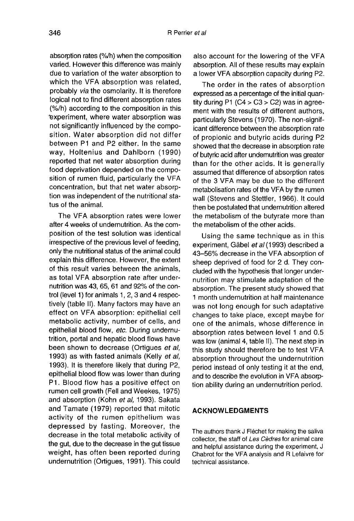absorption rates (%/h) when the composition varied. However this difference was mainly due to variation of the water absorption to which the VFA absorption was related, probably via the osmolarity. It is therefore logical not to find different absorption rates (%/h) according to the composition in this 'experiment, where water absorption was not significantly influenced by the composition. Water absorption did not differ between P1 and P2 either. In the same way, Holtenius and Dahlborn (1990) reported that net water absorption during food deprivation depended on the composition of rumen fluid, particularly the VFA concentration, but that net water absorption was independent of the nutritional status of the animal.

The VFA absorption rates were lower after 4 weeks of undernutrition. As the composition of the test solution was identical irrespective of the previous level of feeding, only the nutritional status of the animal could explain this difference. However, the extent of this result varies between the animals, as total VFA absorption rate after undernutrition was 43, 65, 61 and 92% of the control (level 1) for animals 1, 2, 3 and 4 respectively (table II). Many factors may have an effect on VFA absorption: epithelial cell metabolic activity, number of cells, and epithelial blood flow, etc. During undernutrition, portal and hepatic blood flows have been shown to decrease (Ortigues et al, 1993) as with fasted animals (Kelly et al, 1993). It is therefore likely that during P2, epithelial blood flow was lower than during P1. Blood flow has a positive effect on rumen cell growth (Fell and Weekes, 1975) and absorption (Kohn et al, 1993). Sakata and Tamate (1979) reported that mitotic activity of the rumen epithelium was depressed by fasting. Moreover, the decrease in the total metabolic activity of the gut, due to the decrease in the gut tissue weight, has often been reported during undernutrition (Ortigues, 1991). This could

also account for the lowering of the VFA<br>absorption. All of these results may explain a lower VFA absorption capacity during P2.

The order in the rates of absorption expressed as a percentage of the initial quantity during  $P1 (C4 > C3 > C2)$  was in agreement with the results of different authors, particularly Stevens (1970). The non-significant difference between the absorption rate of propionic and butyric acids during P2 showed that the decrease in absorption rate of butyric acid after undemutrition was greater than for the other acids. It is generally assumed that difference of absorption rates of the 3 VFA may be due to the different metabolisation rates of the VFA by the rumen wall (Stevens and Stettler, 1966). It could then be postulated that undernutrition altered the metabolism of the butyrate more than the metabolism of the other acids.

Using the same technique as in this experiment, Gäbel et al (1993) described a 43-56% decrease in the VFA absorption of sheep deprived of food for 2 d. They concluded with the hypothesis that longer undernutrition may stimulate adaptation of the absorption. The present study showed that 1 month undernutrition at half maintenance was not long enough for such adaptative changes to take place, except maybe for one of the animals, whose difference in absorption rates between level 1 and 0.5 was low (animal 4, table II). The next step in this study should therefore be to test VFA absorption throughout the undernutrition period instead of only testing it at the end, and to describe the evolution in VFA absorption ability during an undernutrition period.

## ACKNOWLEDGMENTS

The authors thank J Fléchet for making the saliva collector, the staff of Les Cèdres for animal care and helpful assistance during the experiment, J Chabrot for the VFA analysis and R Lefaivre for technical assistance.